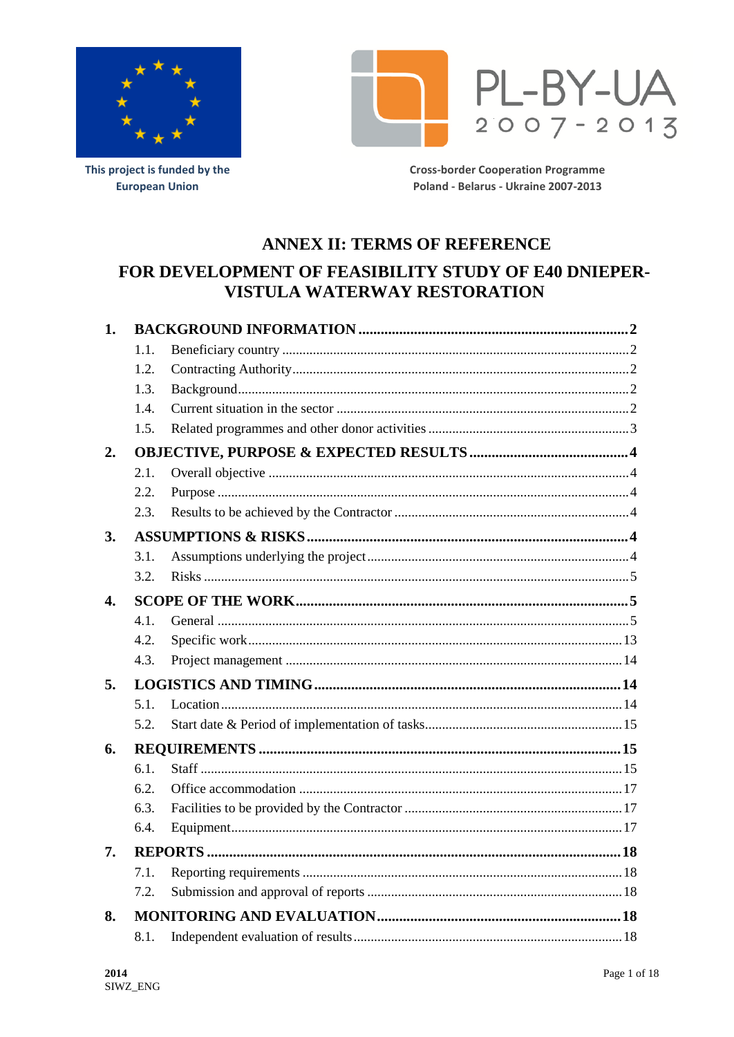



This project is funded by the **European Union** 

**Cross-border Cooperation Programme** Poland - Belarus - Ukraine 2007-2013

# **ANNEX II: TERMS OF REFERENCE**

# FOR DEVELOPMENT OF FEASIBILITY STUDY OF E40 DNIEPER-**VISTULA WATERWAY RESTORATION**

| 1.             |      |  |  |  |
|----------------|------|--|--|--|
|                | 1.1. |  |  |  |
|                | 1.2. |  |  |  |
|                | 1.3. |  |  |  |
|                | 1.4. |  |  |  |
|                | 1.5. |  |  |  |
| 2.             |      |  |  |  |
|                | 2.1. |  |  |  |
|                | 2.2. |  |  |  |
|                | 2.3. |  |  |  |
| 3.             |      |  |  |  |
|                | 3.1. |  |  |  |
|                | 3.2. |  |  |  |
| $\mathbf{4}$ . |      |  |  |  |
|                | 4.1. |  |  |  |
|                | 4.2. |  |  |  |
|                | 4.3. |  |  |  |
| 5.             |      |  |  |  |
|                | 5.1. |  |  |  |
|                | 5.2. |  |  |  |
| 6.             |      |  |  |  |
|                | 6.1. |  |  |  |
|                | 6.2. |  |  |  |
|                | 6.3. |  |  |  |
|                | 6.4. |  |  |  |
| 7.             |      |  |  |  |
|                | 7.1. |  |  |  |
|                | 7.2. |  |  |  |
| 8.             |      |  |  |  |
|                | 8.1. |  |  |  |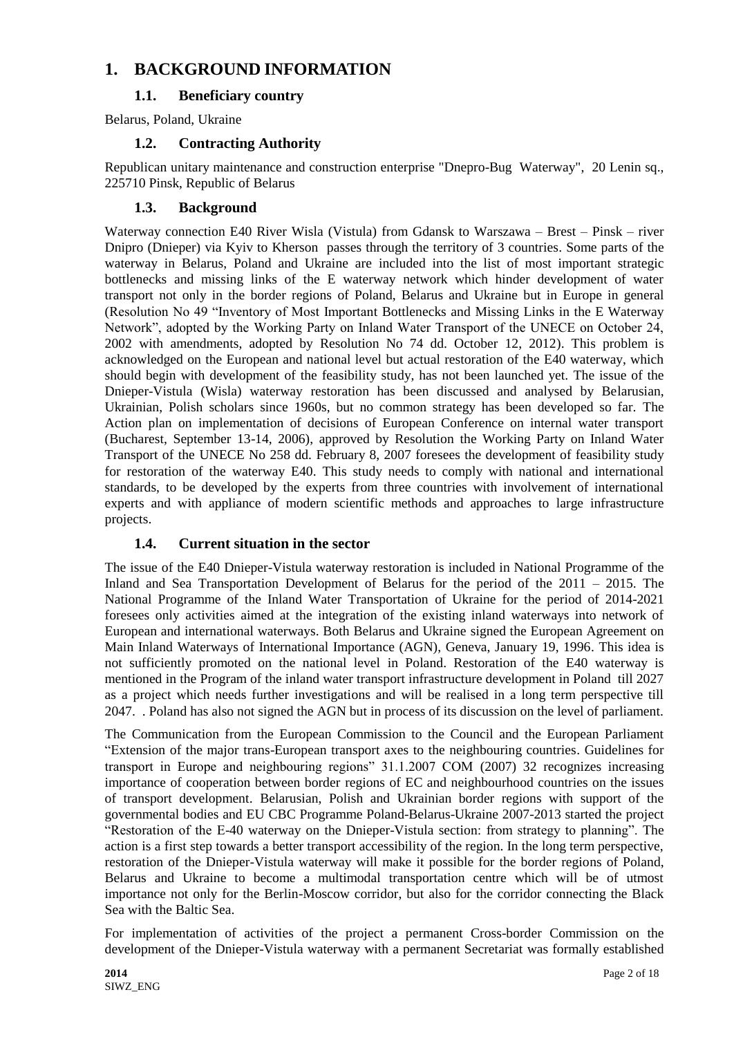# **1. BACKGROUND INFORMATION**

# **1.1. Beneficiary country**

Belarus, Poland, Ukraine

### **1.2. Contracting Authority**

Republican unitary maintenance and construction enterprise "Dnepro-Bug Waterway", 20 Lenin sq., 225710 Pinsk, Republic of Belarus

## **1.3. Background**

Waterway connection E40 River Wisla (Vistula) from Gdansk to Warszawa – Brest – Pinsk – river Dnipro (Dnieper) via Kyiv to Kherson passes through the territory of 3 countries. Some parts of the waterway in Belarus, Poland and Ukraine are included into the list of most important strategic bottlenecks and missing links of the E waterway network which hinder development of water transport not only in the border regions of Poland, Belarus and Ukraine but in Europe in general (Resolution No 49 "Inventory of Most Important Bottlenecks and Missing Links in the E Waterway Network", adopted by the Working Party on Inland Water Transport of the UNECE on October 24, 2002 with amendments, adopted by Resolution No 74 dd. October 12, 2012). This problem is acknowledged on the European and national level but actual restoration of the E40 waterway, which should begin with development of the feasibility study, has not been launched yet. The issue of the Dnieper-Vistula (Wisla) waterway restoration has been discussed and analysed by Belarusian, Ukrainian, Polish scholars since 1960s, but no common strategy has been developed so far. The Action plan on implementation of decisions of European Conference on internal water transport (Bucharest, September 13-14, 2006), approved by Resolution the Working Party on Inland Water Transport of the UNECE No 258 dd. February 8, 2007 foresees the development of feasibility study for restoration of the waterway E40. This study needs to comply with national and international standards, to be developed by the experts from three countries with involvement of international experts and with appliance of modern scientific methods and approaches to large infrastructure projects.

# **1.4. Current situation in the sector**

The issue of the E40 Dnieper-Vistula waterway restoration is included in National Programme of the Inland and Sea Transportation Development of Belarus for the period of the 2011 – 2015. The National Programme of the Inland Water Transportation of Ukraine for the period of 2014-2021 foresees only activities aimed at the integration of the existing inland waterways into network of European and international waterways. Both Belarus and Ukraine signed the European Agreement on Main Inland Waterways of International Importance (AGN), Geneva, January 19, 1996. This idea is not sufficiently promoted on the national level in Poland. Restoration of the E40 waterway is mentioned in the Program of the inland water transport infrastructure development in Poland till 2027 as a project which needs further investigations and will be realised in a long term perspective till 2047. . Poland has also not signed the AGN but in process of its discussion on the level of parliament.

The Communication from the European Commission to the Council and the European Parliament "Extension of the major trans-European transport axes to the neighbouring countries. Guidelines for transport in Europe and neighbouring regions" 31.1.2007 COM (2007) 32 recognizes increasing importance of cooperation between border regions of EC and neighbourhood countries on the issues of transport development. Belarusian, Polish and Ukrainian border regions with support of the governmental bodies and EU CBC Programme Poland-Belarus-Ukraine 2007-2013 started the project "Restoration of the E-40 waterway on the Dnieper-Vistula section: from strategy to planning". The action is a first step towards a better transport accessibility of the region. In the long term perspective, restoration of the Dnieper-Vistula waterway will make it possible for the border regions of Poland, Belarus and Ukraine to become a multimodal transportation centre which will be of utmost importance not only for the Berlin-Moscow corridor, but also for the corridor connecting the Black Sea with the Baltic Sea.

For implementation of activities of the project a permanent Cross-border Commission on the development of the Dnieper-Vistula waterway with a permanent Secretariat was formally established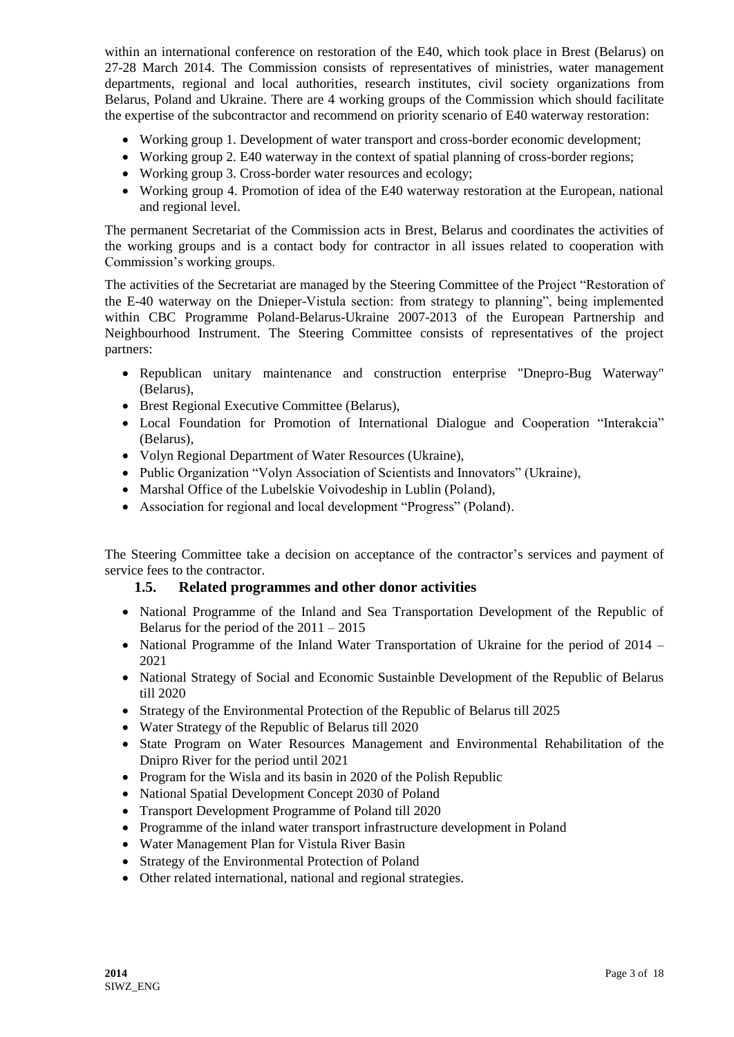within an international conference on restoration of the E40, which took place in Brest (Belarus) on 27-28 March 2014. The Commission consists of representatives of ministries, water management departments, regional and local authorities, research institutes, civil society organizations from Belarus, Poland and Ukraine. There are 4 working groups of the Commission which should facilitate the expertise of the subcontractor and recommend on priority scenario of E40 waterway restoration:

- Working group 1. Development of water transport and cross-border economic development;
- Working group 2. E40 waterway in the context of spatial planning of cross-border regions;
- Working group 3. Cross-border water resources and ecology;
- Working group 4. Promotion of idea of the E40 waterway restoration at the European, national and regional level.

The permanent Secretariat of the Commission acts in Brest, Belarus and coordinates the activities of the working groups and is a contact body for contractor in all issues related to cooperation with Commission's working groups.

The activities of the Secretariat are managed by the Steering Committee of the Project "Restoration of the E-40 waterway on the Dnieper-Vistula section: from strategy to planning", being implemented within CBC Programme Poland-Belarus-Ukraine 2007-2013 of the European Partnership and Neighbourhood Instrument. The Steering Committee consists of representatives of the project partners:

- Republican unitary maintenance and construction enterprise "Dnepro-Bug Waterway" (Belarus),
- Brest Regional Executive Committee (Belarus),
- Local Foundation for Promotion of International Dialogue and Cooperation "Interakcia" (Belarus),
- Volyn Regional Department of Water Resources (Ukraine).
- Public Organization "Volyn Association of Scientists and Innovators" (Ukraine),
- Marshal Office of the Lubelskie Voivodeship in Lublin (Poland),
- Association for regional and local development "Progress" (Poland).

The Steering Committee take a decision on acceptance of the contractor's services and payment of service fees to the contractor.

### **1.5. Related programmes and other donor activities**

- National Programme of the Inland and Sea Transportation Development of the Republic of Belarus for the period of the 2011 – 2015
- National Programme of the Inland Water Transportation of Ukraine for the period of 2014 2021
- National Strategy of Social and Economic Sustainble Development of the Republic of Belarus till 2020
- Strategy of the Environmental Protection of the Republic of Belarus till 2025
- Water Strategy of the Republic of Belarus till 2020
- State Program on Water Resources Management and Environmental Rehabilitation of the Dnipro River for the period until 2021
- Program for the Wisla and its basin in 2020 of the Polish Republic
- National Spatial Development Concept 2030 of Poland
- Transport Development Programme of Poland till 2020
- Programme of the inland water transport infrastructure development in Poland
- Water Management Plan for Vistula River Basin
- Strategy of the Environmental Protection of Poland
- Other related international, national and regional strategies.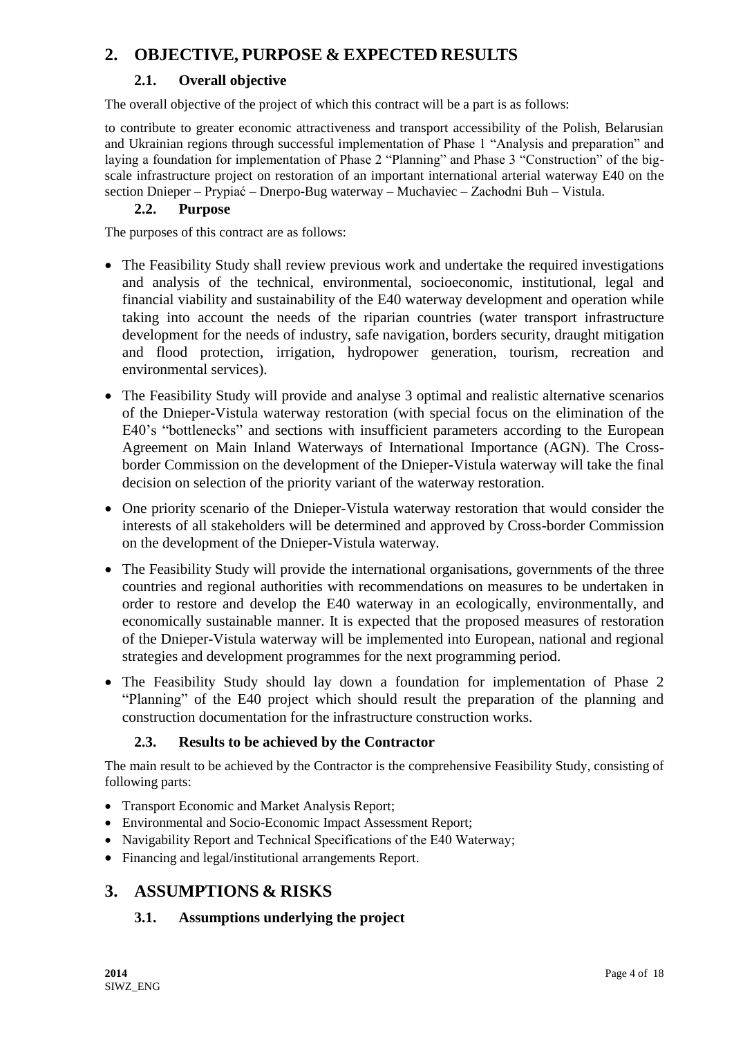# **2. OBJECTIVE, PURPOSE & EXPECTED RESULTS**

# **2.1. Overall objective**

The overall objective of the project of which this contract will be a part is as follows:

to contribute to greater economic attractiveness and transport accessibility of the Polish, Belarusian and Ukrainian regions through successful implementation of Phase 1 "Analysis and preparation" and laying a foundation for implementation of Phase 2 "Planning" and Phase 3 "Construction" of the bigscale infrastructure project on restoration of an important international arterial waterway E40 on the section Dnieper – Prypiać – Dnerpo-Bug waterway – Muchaviec – Zaсhodni Buh – Vistula.

## **2.2. Purpose**

The purposes of this contract are as follows:

- The Feasibility Study shall review previous work and undertake the required investigations and analysis of the technical, environmental, socioeconomic, institutional, legal and financial viability and sustainability of the E40 waterway development and operation while taking into account the needs of the riparian countries (water transport infrastructure development for the needs of industry, safe navigation, borders security, draught mitigation and flood protection, irrigation, hydropower generation, tourism, recreation and environmental services).
- The Feasibility Study will provide and analyse 3 optimal and realistic alternative scenarios of the Dnieper-Vistula waterway restoration (with special focus on the elimination of the E40's "bottlenecks" and sections with insufficient parameters according to the European Agreement on Main Inland Waterways of International Importance (AGN). The Crossborder Commission on the development of the Dnieper-Vistula waterway will take the final decision on selection of the priority variant of the waterway restoration.
- One priority scenario of the Dnieper-Vistula waterway restoration that would consider the interests of all stakeholders will be determined and approved by Cross-border Commission on the development of the Dnieper-Vistula waterway.
- The Feasibility Study will provide the international organisations, governments of the three countries and regional authorities with recommendations on measures to be undertaken in order to restore and develop the E40 waterway in an ecologically, environmentally, and economically sustainable manner. It is expected that the proposed measures of restoration of the Dnieper-Vistula waterway will be implemented into European, national and regional strategies and development programmes for the next programming period.
- The Feasibility Study should lay down a foundation for implementation of Phase 2 "Planning" of the E40 project which should result the preparation of the planning and construction documentation for the infrastructure construction works.

# **2.3. Results to be achieved by the Contractor**

The main result to be achieved by the Contractor is the comprehensive Feasibility Study, consisting of following parts:

- Transport Economic and Market Analysis Report;
- Environmental and Socio-Economic Impact Assessment Report;
- Navigability Report and Technical Specifications of the E40 Waterway;
- Financing and legal/institutional arrangements Report.

# **3. ASSUMPTIONS & RISKS**

# **3.1. Assumptions underlying the project**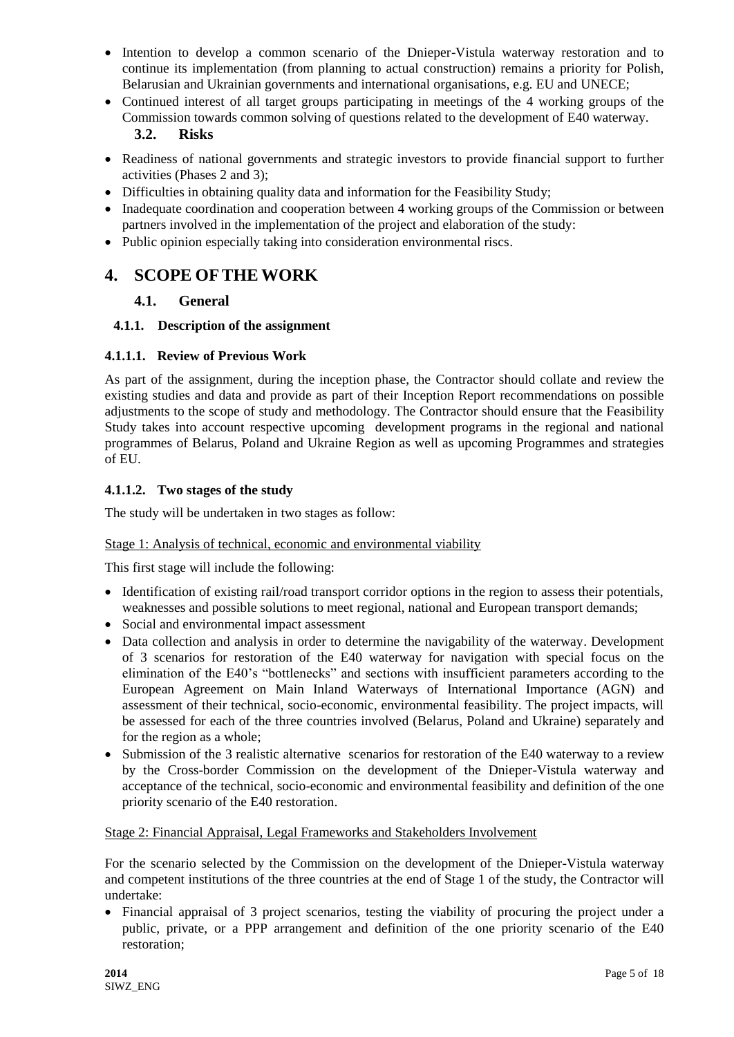- Intention to develop a common scenario of the Dnieper-Vistula waterway restoration and to continue its implementation (from planning to actual construction) remains a priority for Polish, Belarusian and Ukrainian governments and international organisations, e.g. EU and UNECE;
- Continued interest of all target groups participating in meetings of the 4 working groups of the Commission towards common solving of questions related to the development of E40 waterway.

# **3.2. Risks**

- Readiness of national governments and strategic investors to provide financial support to further activities (Phases 2 and 3);
- Difficulties in obtaining quality data and information for the Feasibility Study;
- Inadequate coordination and cooperation between 4 working groups of the Commission or between partners involved in the implementation of the project and elaboration of the study:
- Public opinion especially taking into consideration environmental riscs.

# **4. SCOPE OFTHE WORK**

# **4.1. General**

## **4.1.1. Description of the assignment**

## **4.1.1.1. Review of Previous Work**

As part of the assignment, during the inception phase, the Contractor should collate and review the existing studies and data and provide as part of their Inception Report recommendations on possible adjustments to the scope of study and methodology. The Contractor should ensure that the Feasibility Study takes into account respective upcoming development programs in the regional and national programmes of Belarus, Poland and Ukraine Region as well as upcoming Programmes and strategies of EU.

## **4.1.1.2. Two stages of the study**

The study will be undertaken in two stages as follow:

### Stage 1: Analysis of technical, economic and environmental viability

This first stage will include the following:

- Identification of existing rail/road transport corridor options in the region to assess their potentials, weaknesses and possible solutions to meet regional, national and European transport demands;
- Social and environmental impact assessment
- Data collection and analysis in order to determine the navigability of the waterway. Development of 3 scenarios for restoration of the E40 waterway for navigation with special focus on the elimination of the E40's "bottlenecks" and sections with insufficient parameters according to the European Agreement on Main Inland Waterways of International Importance (AGN) and assessment of their technical, socio-economic, environmental feasibility. The project impacts, will be assessed for each of the three countries involved (Belarus, Poland and Ukraine) separately and for the region as a whole;
- Submission of the 3 realistic alternative scenarios for restoration of the E40 waterway to a review by the Cross-border Commission on the development of the Dnieper-Vistula waterway and acceptance of the technical, socio-economic and environmental feasibility and definition of the one priority scenario of the E40 restoration.

### Stage 2: Financial Appraisal, Legal Frameworks and Stakeholders Involvement

For the scenario selected by the Commission on the development of the Dnieper-Vistula waterway and competent institutions of the three countries at the end of Stage 1 of the study, the Contractor will undertake:

 Financial appraisal of 3 project scenarios, testing the viability of procuring the project under a public, private, or a PPP arrangement and definition of the one priority scenario of the E40 restoration;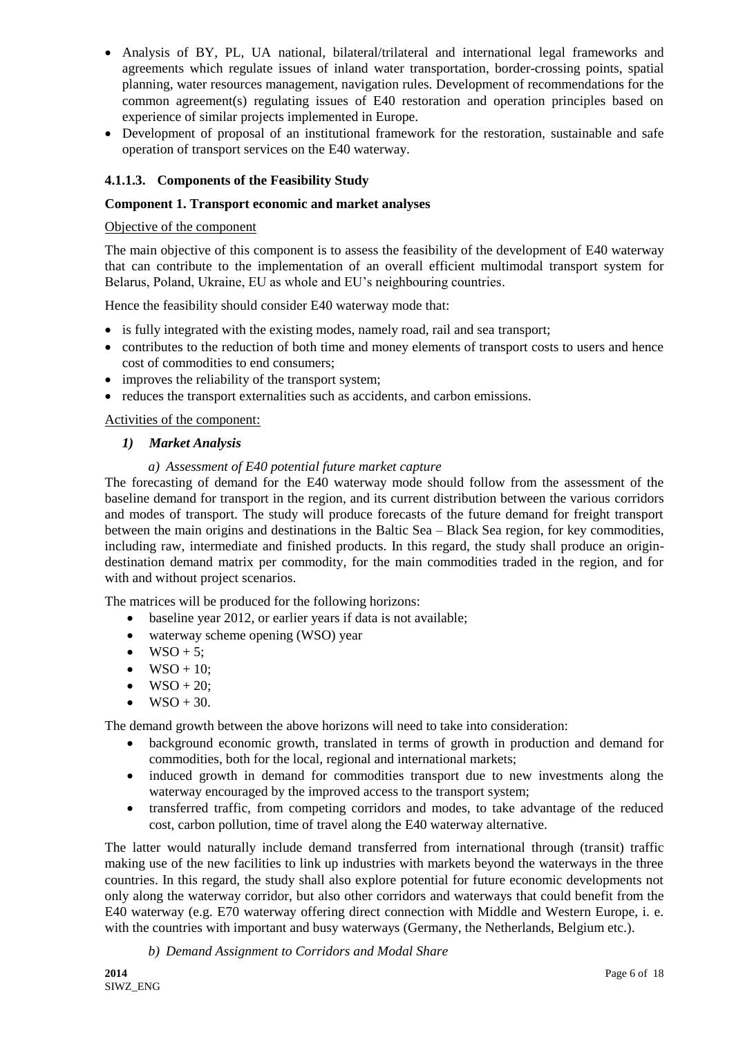- Analysis of BY, PL, UA national, bilateral/trilateral and international legal frameworks and agreements which regulate issues of inland water transportation, border-crossing points, spatial planning, water resources management, navigation rules. Development of recommendations for the common agreement(s) regulating issues of E40 restoration and operation principles based on experience of similar projects implemented in Europe.
- Development of proposal of an institutional framework for the restoration, sustainable and safe operation of transport services on the E40 waterway.

### **4.1.1.3. Components of the Feasibility Study**

#### **Component 1. Transport economic and market analyses**

#### Objective of the component

The main objective of this component is to assess the feasibility of the development of E40 waterway that can contribute to the implementation of an overall efficient multimodal transport system for Belarus, Poland, Ukraine, EU as whole and EU's neighbouring countries.

Hence the feasibility should consider E40 waterway mode that:

- is fully integrated with the existing modes, namely road, rail and sea transport;
- contributes to the reduction of both time and money elements of transport costs to users and hence cost of commodities to end consumers;
- improves the reliability of the transport system;
- reduces the transport externalities such as accidents, and carbon emissions.

Activities of the component:

#### *1) Market Analysis*

#### *a) Assessment of E40 potential future market capture*

The forecasting of demand for the E40 waterway mode should follow from the assessment of the baseline demand for transport in the region, and its current distribution between the various corridors and modes of transport. The study will produce forecasts of the future demand for freight transport between the main origins and destinations in the Baltic Sea – Black Sea region, for key commodities, including raw, intermediate and finished products. In this regard, the study shall produce an origindestination demand matrix per commodity, for the main commodities traded in the region, and for with and without project scenarios.

The matrices will be produced for the following horizons:

- baseline year 2012, or earlier years if data is not available;
- waterway scheme opening (WSO) year
- $\bullet$  WSO + 5;
- $\bullet$  WSO + 10:
- $\bullet$  WSO + 20;
- $WSO + 30.$

The demand growth between the above horizons will need to take into consideration:

- background economic growth, translated in terms of growth in production and demand for commodities, both for the local, regional and international markets;
- induced growth in demand for commodities transport due to new investments along the waterway encouraged by the improved access to the transport system;
- transferred traffic, from competing corridors and modes, to take advantage of the reduced cost, carbon pollution, time of travel along the E40 waterway alternative.

The latter would naturally include demand transferred from international through (transit) traffic making use of the new facilities to link up industries with markets beyond the waterways in the three countries. In this regard, the study shall also explore potential for future economic developments not only along the waterway corridor, but also other corridors and waterways that could benefit from the E40 waterway (e.g. E70 waterway offering direct connection with Middle and Western Europe, i. e. with the countries with important and busy waterways (Germany, the Netherlands, Belgium etc.).

*b) Demand Assignment to Corridors and Modal Share*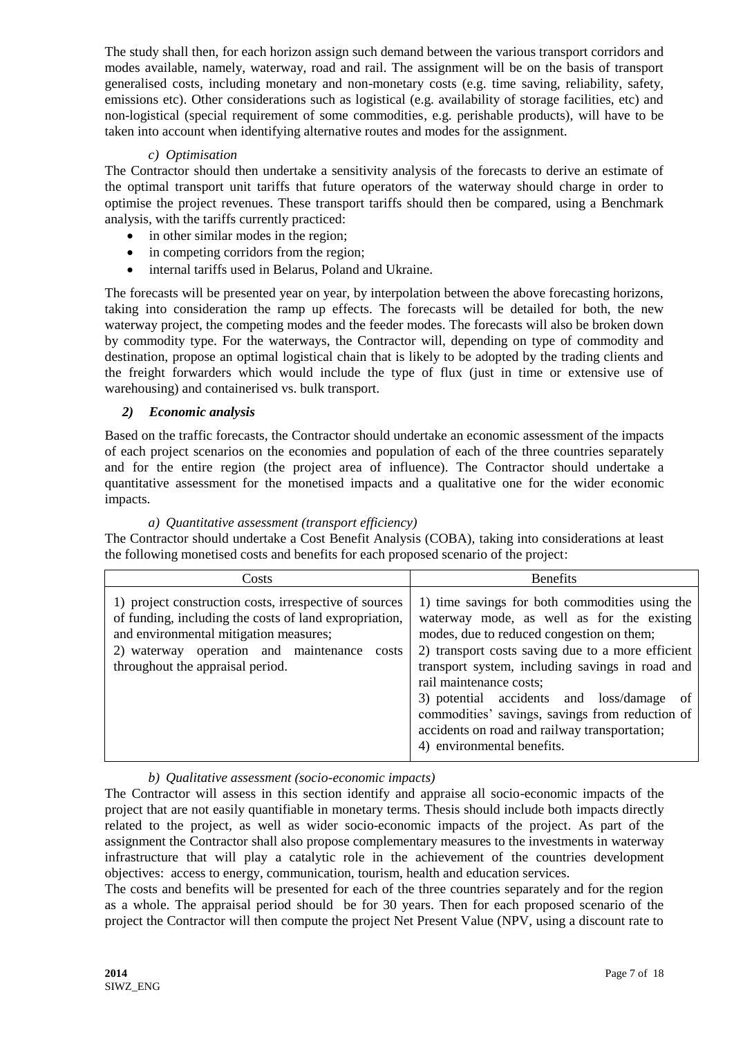The study shall then, for each horizon assign such demand between the various transport corridors and modes available, namely, waterway, road and rail. The assignment will be on the basis of transport generalised costs, including monetary and non-monetary costs (e.g. time saving, reliability, safety, emissions etc). Other considerations such as logistical (e.g. availability of storage facilities, etc) and non-logistical (special requirement of some commodities, e.g. perishable products), will have to be taken into account when identifying alternative routes and modes for the assignment.

### *c) Optimisation*

The Contractor should then undertake a sensitivity analysis of the forecasts to derive an estimate of the optimal transport unit tariffs that future operators of the waterway should charge in order to optimise the project revenues. These transport tariffs should then be compared, using a Benchmark analysis, with the tariffs currently practiced:

- in other similar modes in the region;
- in competing corridors from the region:
- internal tariffs used in Belarus, Poland and Ukraine.

The forecasts will be presented year on year, by interpolation between the above forecasting horizons, taking into consideration the ramp up effects. The forecasts will be detailed for both, the new waterway project, the competing modes and the feeder modes. The forecasts will also be broken down by commodity type. For the waterways, the Contractor will, depending on type of commodity and destination, propose an optimal logistical chain that is likely to be adopted by the trading clients and the freight forwarders which would include the type of flux (just in time or extensive use of warehousing) and containerised vs. bulk transport.

### *2) Economic analysis*

Based on the traffic forecasts, the Contractor should undertake an economic assessment of the impacts of each project scenarios on the economies and population of each of the three countries separately and for the entire region (the project area of influence). The Contractor should undertake a quantitative assessment for the monetised impacts and a qualitative one for the wider economic impacts.

| Costs                                                                                                                                                                                                                                            | <b>Benefits</b>                                                                                                                                                                                                                                                                                                                                                                                                                                                           |
|--------------------------------------------------------------------------------------------------------------------------------------------------------------------------------------------------------------------------------------------------|---------------------------------------------------------------------------------------------------------------------------------------------------------------------------------------------------------------------------------------------------------------------------------------------------------------------------------------------------------------------------------------------------------------------------------------------------------------------------|
| 1) project construction costs, irrespective of sources<br>of funding, including the costs of land expropriation,<br>and environmental mitigation measures;<br>2) waterway operation and maintenance<br>costs<br>throughout the appraisal period. | 1) time savings for both commodities using the<br>waterway mode, as well as for the existing<br>modes, due to reduced congestion on them;<br>2) transport costs saving due to a more efficient<br>transport system, including savings in road and<br>rail maintenance costs;<br>3) potential accidents and loss/damage<br><sub>of</sub><br>commodities' savings, savings from reduction of<br>accidents on road and railway transportation;<br>4) environmental benefits. |

#### *a) Quantitative assessment (transport efficiency)*

The Contractor should undertake a Cost Benefit Analysis (COBA), taking into considerations at least the following monetised costs and benefits for each proposed scenario of the project:

#### *b) Qualitative assessment (socio-economic impacts)*

The Contractor will assess in this section identify and appraise all socio-economic impacts of the project that are not easily quantifiable in monetary terms. Thesis should include both impacts directly related to the project, as well as wider socio-economic impacts of the project. As part of the assignment the Contractor shall also propose complementary measures to the investments in waterway infrastructure that will play a catalytic role in the achievement of the countries development objectives: access to energy, communication, tourism, health and education services.

The costs and benefits will be presented for each of the three countries separately and for the region as a whole. The appraisal period should be for 30 years. Then for each proposed scenario of the project the Contractor will then compute the project Net Present Value (NPV, using a discount rate to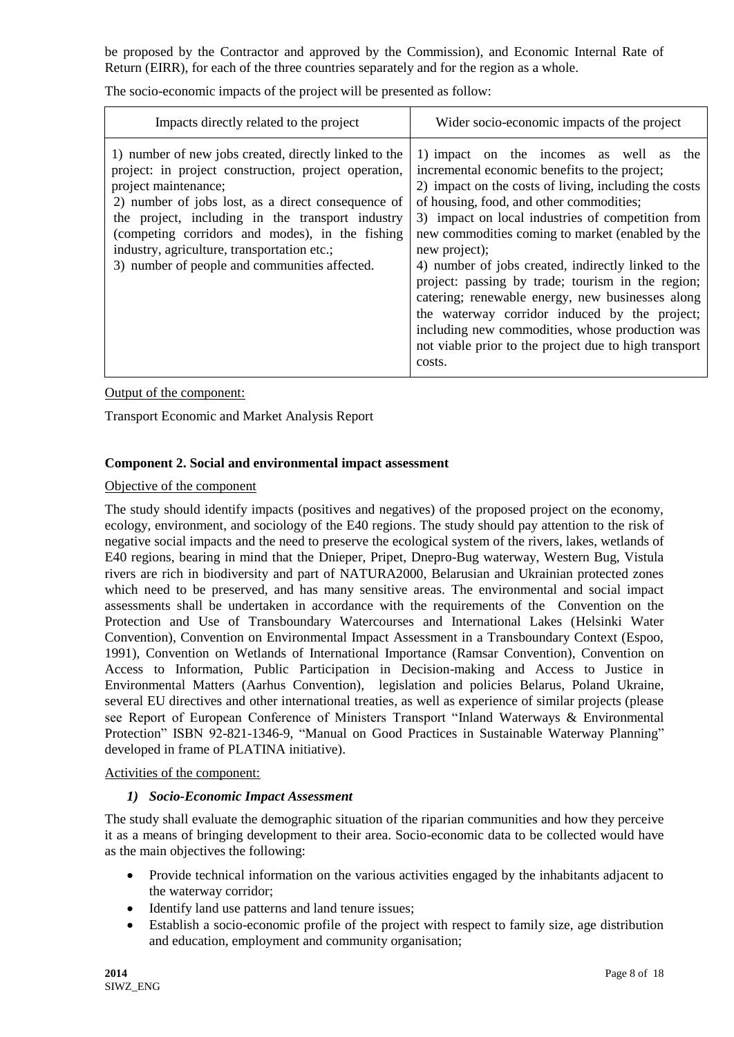be proposed by the Contractor and approved by the Commission), and Economic Internal Rate of Return (EIRR), for each of the three countries separately and for the region as a whole.

The socio-economic impacts of the project will be presented as follow:

| Impacts directly related to the project                                                                                                                                                                                                                                                                                                                                                            | Wider socio-economic impacts of the project                                                                                                                                                                                                                                                                                                                                                                                                                                                                                                                                                                                                                    |
|----------------------------------------------------------------------------------------------------------------------------------------------------------------------------------------------------------------------------------------------------------------------------------------------------------------------------------------------------------------------------------------------------|----------------------------------------------------------------------------------------------------------------------------------------------------------------------------------------------------------------------------------------------------------------------------------------------------------------------------------------------------------------------------------------------------------------------------------------------------------------------------------------------------------------------------------------------------------------------------------------------------------------------------------------------------------------|
| 1) number of new jobs created, directly linked to the<br>project: in project construction, project operation,<br>project maintenance;<br>2) number of jobs lost, as a direct consequence of<br>the project, including in the transport industry<br>(competing corridors and modes), in the fishing<br>industry, agriculture, transportation etc.;<br>3) number of people and communities affected. | 1) impact on the incomes as well as the<br>incremental economic benefits to the project;<br>2) impact on the costs of living, including the costs<br>of housing, food, and other commodities;<br>3) impact on local industries of competition from<br>new commodities coming to market (enabled by the<br>new project);<br>4) number of jobs created, indirectly linked to the<br>project: passing by trade; tourism in the region;<br>catering; renewable energy, new businesses along<br>the waterway corridor induced by the project;<br>including new commodities, whose production was<br>not viable prior to the project due to high transport<br>costs. |

Output of the component:

Transport Economic and Market Analysis Report

#### **Component 2. Social and environmental impact assessment**

#### Objective of the component

The study should identify impacts (positives and negatives) of the proposed project on the economy, ecology, environment, and sociology of the E40 regions. The study should pay attention to the risk of negative social impacts and the need to preserve the ecological system of the rivers, lakes, wetlands of E40 regions, bearing in mind that the Dnieper, Pripet, Dnepro-Bug waterway, Western Bug, Vistula rivers are rich in biodiversity and part of NATURA2000, Belarusian and Ukrainian protected zones which need to be preserved, and has many sensitive areas. The environmental and social impact assessments shall be undertaken in accordance with the requirements of the Convention on the Protection and Use of Transboundary Watercourses and International Lakes (Helsinki Water Convention), Convention on Environmental Impact Assessment in a Transboundary Context (Espoo, 1991), Convention on Wetlands of International Importance (Ramsar Convention), Convention on Access to Information, Public Participation in Decision-making and Access to Justice in Environmental Matters (Aarhus Convention), legislation and policies Belarus, Poland Ukraine, several EU directives and other international treaties, as well as experience of similar projects (please see Report of European Conference of Ministers Transport "Inland Waterways & Environmental Protection" ISBN 92-821-1346-9, "Manual on Good Practices in Sustainable Waterway Planning" developed in frame of PLATINA initiative).

#### Activities of the component:

#### *1) Socio-Economic Impact Assessment*

The study shall evaluate the demographic situation of the riparian communities and how they perceive it as a means of bringing development to their area. Socio-economic data to be collected would have as the main objectives the following:

- Provide technical information on the various activities engaged by the inhabitants adjacent to the waterway corridor;
- Identify land use patterns and land tenure issues;
- Establish a socio-economic profile of the project with respect to family size, age distribution and education, employment and community organisation;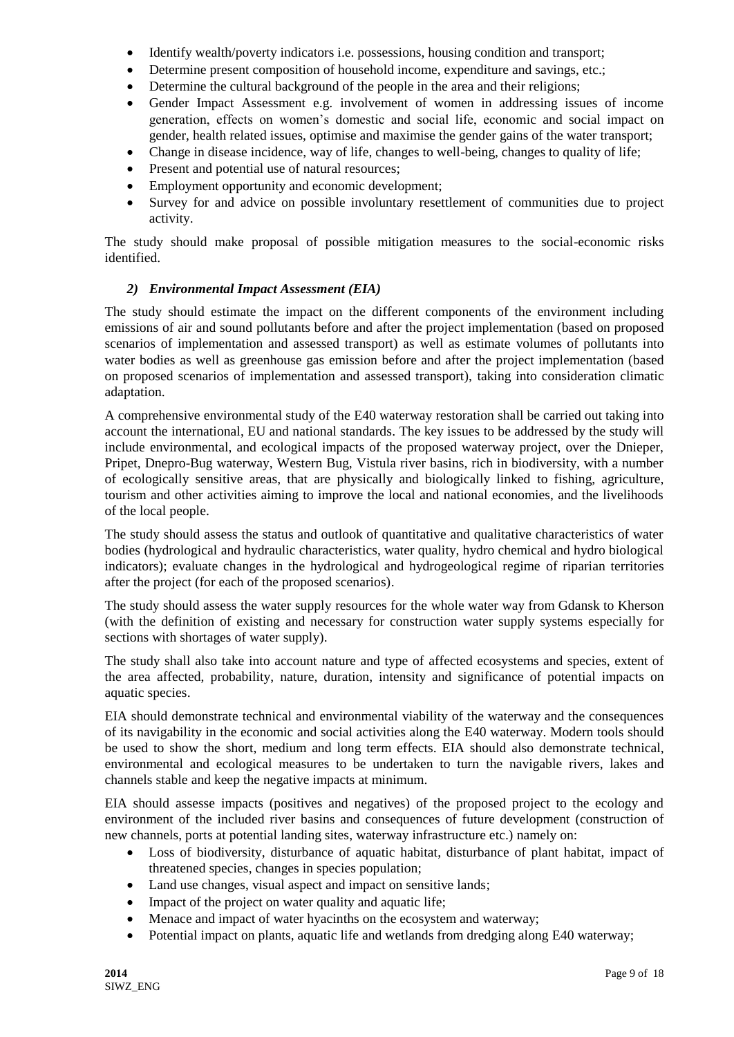- Identify wealth/poverty indicators i.e. possessions, housing condition and transport;
- Determine present composition of household income, expenditure and savings, etc.;
- Determine the cultural background of the people in the area and their religions;
- Gender Impact Assessment e.g. involvement of women in addressing issues of income generation, effects on women's domestic and social life, economic and social impact on gender, health related issues, optimise and maximise the gender gains of the water transport;
- Change in disease incidence, way of life, changes to well-being, changes to quality of life;
- Present and potential use of natural resources;
- Employment opportunity and economic development;
- Survey for and advice on possible involuntary resettlement of communities due to project activity.

The study should make proposal of possible mitigation measures to the social-economic risks identified.

### *2) Environmental Impact Assessment (EIA)*

The study should estimate the impact on the different components of the environment including emissions of air and sound pollutants before and after the project implementation (based on proposed scenarios of implementation and assessed transport) as well as estimate volumes of pollutants into water bodies as well as greenhouse gas emission before and after the project implementation (based on proposed scenarios of implementation and assessed transport), taking into consideration climatic adaptation.

A comprehensive environmental study of the E40 waterway restoration shall be carried out taking into account the international, EU and national standards. The key issues to be addressed by the study will include environmental, and ecological impacts of the proposed waterway project, over the Dnieper, Pripet, Dnepro-Bug waterway, Western Bug, Vistula river basins, rich in biodiversity, with a number of ecologically sensitive areas, that are physically and biologically linked to fishing, agriculture, tourism and other activities aiming to improve the local and national economies, and the livelihoods of the local people.

The study should assess the status and outlook of quantitative and qualitative characteristics of water bodies (hydrological and hydraulic characteristics, water quality, hydro chemical and hydro biological indicators); evaluate changes in the hydrological and hydrogeological regime of riparian territories after the project (for each of the proposed scenarios).

The study should assess the water supply resources for the whole water way from Gdansk to Kherson (with the definition of existing and necessary for construction water supply systems especially for sections with shortages of water supply).

The study shall also take into account nature and type of affected ecosystems and species, extent of the area affected, probability, nature, duration, intensity and significance of potential impacts on aquatic species.

EIA should demonstrate technical and environmental viability of the waterway and the consequences of its navigability in the economic and social activities along the E40 waterway. Modern tools should be used to show the short, medium and long term effects. EIA should also demonstrate technical, environmental and ecological measures to be undertaken to turn the navigable rivers, lakes and channels stable and keep the negative impacts at minimum.

EIA should assesse impacts (positives and negatives) of the proposed project to the ecology and environment of the included river basins and consequences of future development (construction of new channels, ports at potential landing sites, waterway infrastructure etc.) namely on:

- Loss of biodiversity, disturbance of aquatic habitat, disturbance of plant habitat, impact of threatened species, changes in species population;
- Land use changes, visual aspect and impact on sensitive lands;
- Impact of the project on water quality and aquatic life;
- Menace and impact of water hyacinths on the ecosystem and waterway;
- Potential impact on plants, aquatic life and wetlands from dredging along E40 waterway;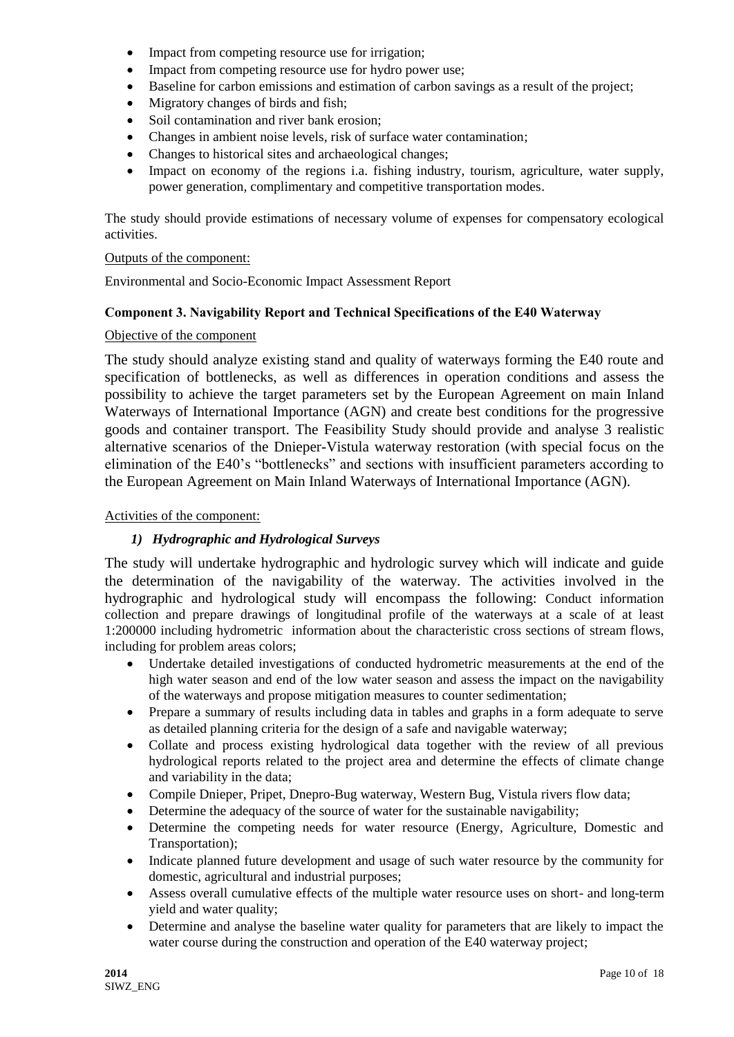- Impact from competing resource use for irrigation;
- Impact from competing resource use for hydro power use;
- Baseline for carbon emissions and estimation of carbon savings as a result of the project;
- Migratory changes of birds and fish:
- Soil contamination and river bank erosion;
- Changes in ambient noise levels, risk of surface water contamination;
- Changes to historical sites and archaeological changes;
- Impact on economy of the regions i.a. fishing industry, tourism, agriculture, water supply, power generation, complimentary and competitive transportation modes.

The study should provide estimations of necessary volume of expenses for compensatory ecological activities.

#### Outputs of the component:

Environmental and Socio-Economic Impact Assessment Report

### **Component 3. Navigability Report and Technical Specifications of the Е40 Waterway**

#### Objective of the component

The study should analyze existing stand and quality of waterways forming the E40 route and specification of bottlenecks, as well as differences in operation conditions and assess the possibility to achieve the target parameters set by the European Agreement on main Inland Waterways of International Importance (AGN) and create best conditions for the progressive goods and container transport. The Feasibility Study should provide and analyse 3 realistic alternative scenarios of the Dnieper-Vistula waterway restoration (with special focus on the elimination of the E40's "bottlenecks" and sections with insufficient parameters according to the European Agreement on Main Inland Waterways of International Importance (AGN).

### Activities of the component:

### *1) Hydrographic and Hydrological Surveys*

The study will undertake hydrographic and hydrologic survey which will indicate and guide the determination of the navigability of the waterway. The activities involved in the hydrographic and hydrological study will encompass the following: Conduct information collection and prepare drawings of longitudinal profile of the waterways at a scale of at least 1:200000 including hydrometric information about the characteristic cross sections of stream flows, including for problem areas colors;

- Undertake detailed investigations of conducted hydrometric measurements at the end of the high water season and end of the low water season and assess the impact on the navigability of the waterways and propose mitigation measures to counter sedimentation;
- Prepare a summary of results including data in tables and graphs in a form adequate to serve as detailed planning criteria for the design of a safe and navigable waterway;
- Collate and process existing hydrological data together with the review of all previous hydrological reports related to the project area and determine the effects of climate change and variability in the data;
- Compile Dnieper, Pripet, Dnepro-Bug waterway, Western Bug, Vistula rivers flow data;
- Determine the adequacy of the source of water for the sustainable navigability;
- Determine the competing needs for water resource (Energy, Agriculture, Domestic and Transportation);
- Indicate planned future development and usage of such water resource by the community for domestic, agricultural and industrial purposes;
- Assess overall cumulative effects of the multiple water resource uses on short- and long-term yield and water quality;
- Determine and analyse the baseline water quality for parameters that are likely to impact the water course during the construction and operation of the E40 waterway project;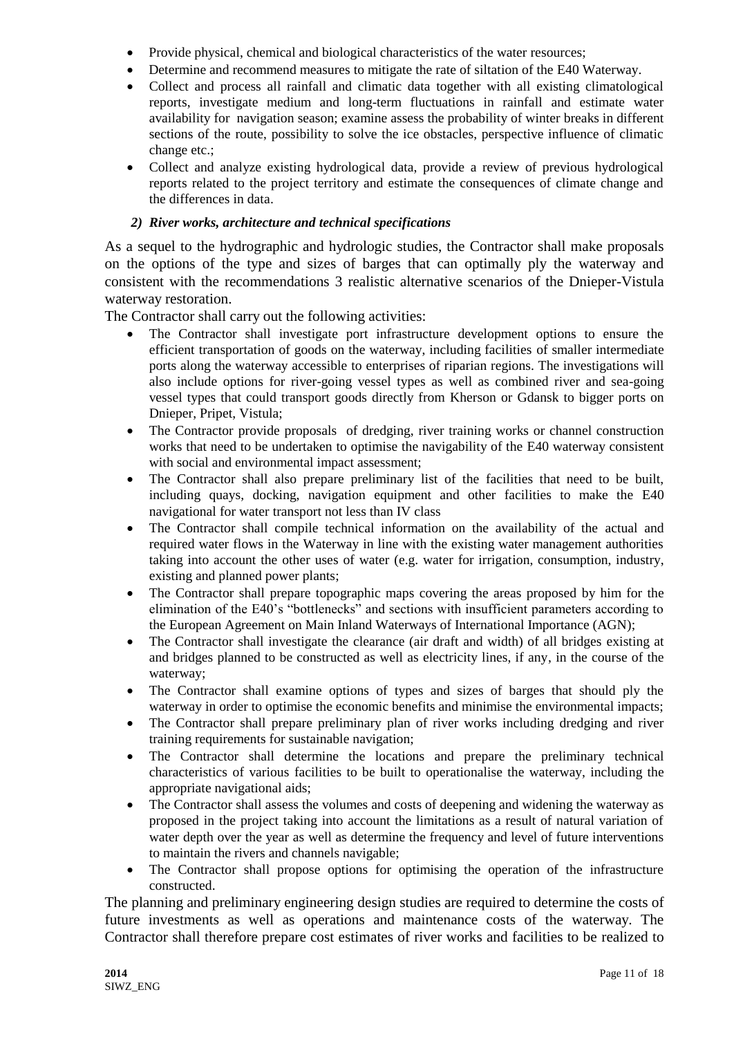- Provide physical, chemical and biological characteristics of the water resources;
- Determine and recommend measures to mitigate the rate of siltation of the E40 Waterway.
- Collect and process all rainfall and climatic data together with all existing climatological reports, investigate medium and long-term fluctuations in rainfall and estimate water availability for navigation season; examine assess the probability of winter breaks in different sections of the route, possibility to solve the ice obstacles, perspective influence of climatic change etc.;
- Collect and analyze existing hydrological data, provide a review of previous hydrological reports related to the project territory and estimate the consequences of climate change and the differences in data.

### *2) River works, architecture and technical specifications*

As a sequel to the hydrographic and hydrologic studies, the Contractor shall make proposals on the options of the type and sizes of barges that can optimally ply the waterway and consistent with the recommendations 3 realistic alternative scenarios of the Dnieper-Vistula waterway restoration.

The Contractor shall carry out the following activities:

- The Contractor shall investigate port infrastructure development options to ensure the efficient transportation of goods on the waterway, including facilities of smaller intermediate ports along the waterway accessible to enterprises of riparian regions. The investigations will also include options for river-going vessel types as well as combined river and sea-going vessel types that could transport goods directly from Kherson or Gdansk to bigger ports on Dnieper, Pripet, Vistula;
- The Contractor provide proposals of dredging, river training works or channel construction works that need to be undertaken to optimise the navigability of the E40 waterway consistent with social and environmental impact assessment;
- The Contractor shall also prepare preliminary list of the facilities that need to be built, including quays, docking, navigation equipment and other facilities to make the E40 navigational for water transport not less than IV class
- The Contractor shall compile technical information on the availability of the actual and required water flows in the Waterway in line with the existing water management authorities taking into account the other uses of water (e.g. water for irrigation, consumption, industry, existing and planned power plants;
- The Contractor shall prepare topographic maps covering the areas proposed by him for the elimination of the E40's "bottlenecks" and sections with insufficient parameters according to the European Agreement on Main Inland Waterways of International Importance (AGN);
- The Contractor shall investigate the clearance (air draft and width) of all bridges existing at and bridges planned to be constructed as well as electricity lines, if any, in the course of the waterway;
- The Contractor shall examine options of types and sizes of barges that should ply the waterway in order to optimise the economic benefits and minimise the environmental impacts;
- The Contractor shall prepare preliminary plan of river works including dredging and river training requirements for sustainable navigation;
- The Contractor shall determine the locations and prepare the preliminary technical characteristics of various facilities to be built to operationalise the waterway, including the appropriate navigational aids;
- The Contractor shall assess the volumes and costs of deepening and widening the waterway as proposed in the project taking into account the limitations as a result of natural variation of water depth over the year as well as determine the frequency and level of future interventions to maintain the rivers and channels navigable;
- The Contractor shall propose options for optimising the operation of the infrastructure constructed.

The planning and preliminary engineering design studies are required to determine the costs of future investments as well as operations and maintenance costs of the waterway. The Contractor shall therefore prepare cost estimates of river works and facilities to be realized to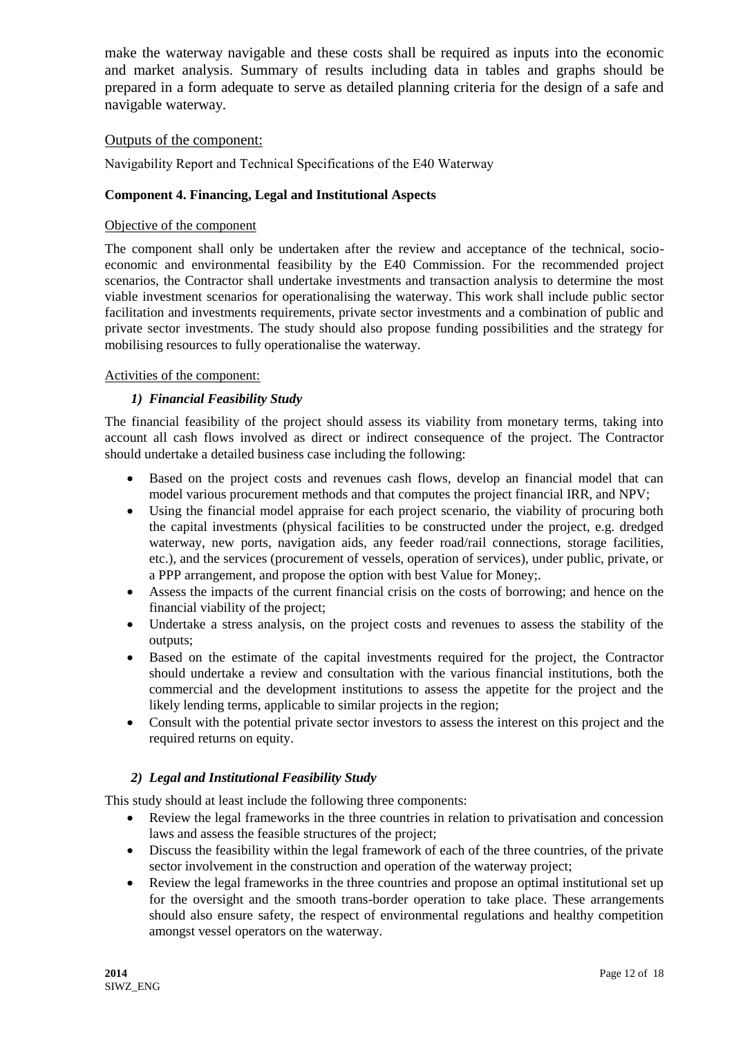make the waterway navigable and these costs shall be required as inputs into the economic and market analysis. Summary of results including data in tables and graphs should be prepared in a form adequate to serve as detailed planning criteria for the design of a safe and navigable waterway.

### Outputs of the component:

Navigability Report and Technical Specifications of the Е40 Waterway

#### **Component 4. Financing, Legal and Institutional Aspects**

#### Objective of the component

The component shall only be undertaken after the review and acceptance of the technical, socioeconomic and environmental feasibility by the E40 Commission. For the recommended project scenarios, the Contractor shall undertake investments and transaction analysis to determine the most viable investment scenarios for operationalising the waterway. This work shall include public sector facilitation and investments requirements, private sector investments and a combination of public and private sector investments. The study should also propose funding possibilities and the strategy for mobilising resources to fully operationalise the waterway.

#### Activities of the component:

#### *1) Financial Feasibility Study*

The financial feasibility of the project should assess its viability from monetary terms, taking into account all cash flows involved as direct or indirect consequence of the project. The Contractor should undertake a detailed business case including the following:

- Based on the project costs and revenues cash flows, develop an financial model that can model various procurement methods and that computes the project financial IRR, and NPV;
- Using the financial model appraise for each project scenario, the viability of procuring both the capital investments (physical facilities to be constructed under the project, e.g. dredged waterway, new ports, navigation aids, any feeder road/rail connections, storage facilities, etc.), and the services (procurement of vessels, operation of services), under public, private, or a PPP arrangement, and propose the option with best Value for Money;.
- Assess the impacts of the current financial crisis on the costs of borrowing; and hence on the financial viability of the project;
- Undertake a stress analysis, on the project costs and revenues to assess the stability of the outputs;
- Based on the estimate of the capital investments required for the project, the Contractor should undertake a review and consultation with the various financial institutions, both the commercial and the development institutions to assess the appetite for the project and the likely lending terms, applicable to similar projects in the region;
- Consult with the potential private sector investors to assess the interest on this project and the required returns on equity.

### *2) Legal and Institutional Feasibility Study*

This study should at least include the following three components:

- Review the legal frameworks in the three countries in relation to privatisation and concession laws and assess the feasible structures of the project;
- Discuss the feasibility within the legal framework of each of the three countries, of the private sector involvement in the construction and operation of the waterway project;
- Review the legal frameworks in the three countries and propose an optimal institutional set up for the oversight and the smooth trans-border operation to take place. These arrangements should also ensure safety, the respect of environmental regulations and healthy competition amongst vessel operators on the waterway.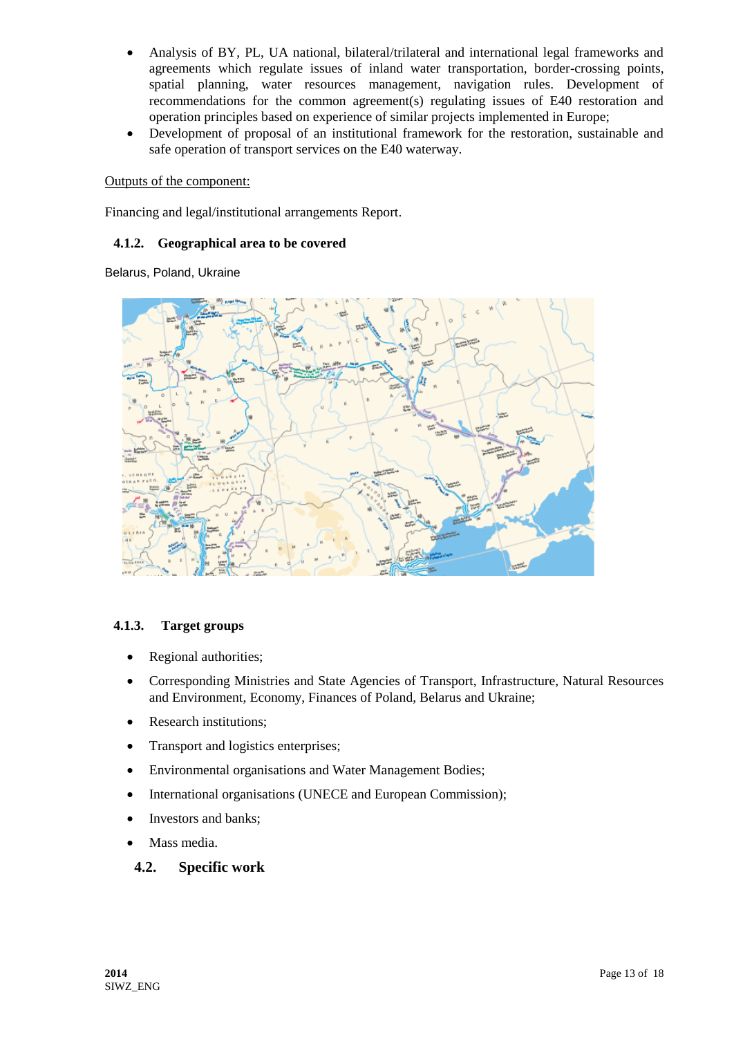- Analysis of BY, PL, UA national, bilateral/trilateral and international legal frameworks and agreements which regulate issues of inland water transportation, border-crossing points, spatial planning, water resources management, navigation rules. Development of recommendations for the common agreement(s) regulating issues of E40 restoration and operation principles based on experience of similar projects implemented in Europe;
- Development of proposal of an institutional framework for the restoration, sustainable and safe operation of transport services on the E40 waterway.

#### Outputs of the component:

Financing and legal/institutional arrangements Report.

#### **4.1.2. Geographical area to be covered**

Belarus, Poland, Ukraine



### **4.1.3. Target groups**

- Regional authorities;
- Corresponding Ministries and State Agencies of Transport, Infrastructure, Natural Resources and Environment, Economy, Finances of Poland, Belarus and Ukraine;
- Research institutions;
- Transport and logistics enterprises;
- Environmental organisations and Water Management Bodies;
- International organisations (UNECE and European Commission);
- Investors and banks;
- Mass media.

### **4.2. Specific work**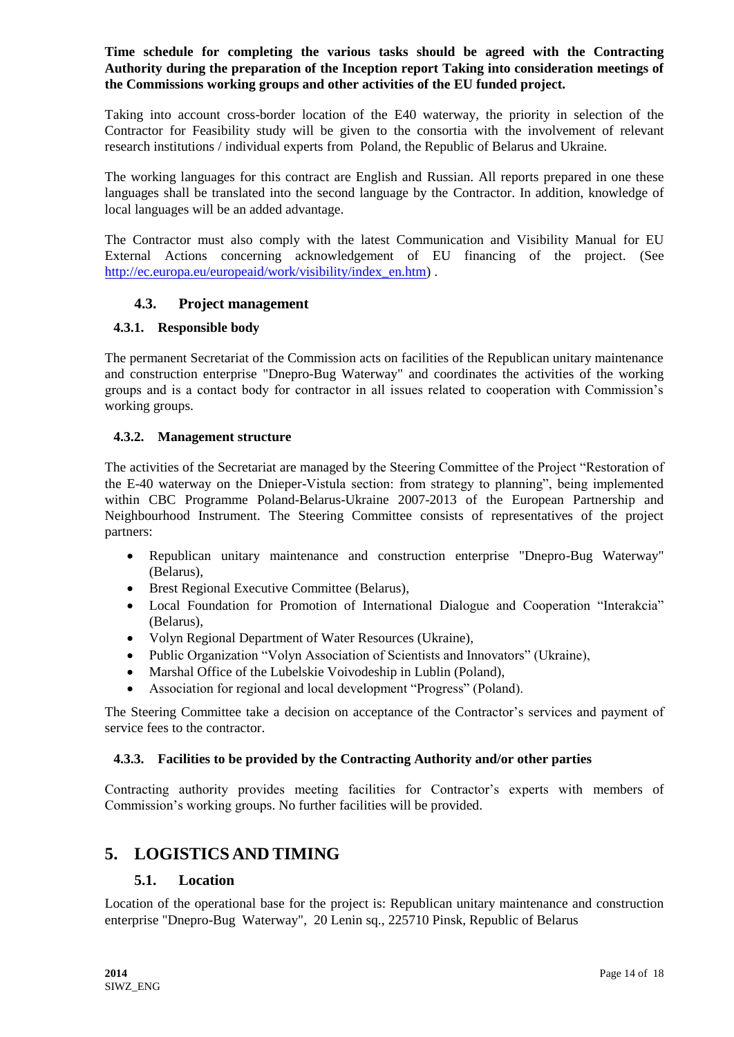### **Time schedule for completing the various tasks should be agreed with the Contracting Authority during the preparation of the Inception report Taking into consideration meetings of the Commissions working groups and other activities of the EU funded project.**

Taking into account cross-border location of the E40 waterway, the priority in selection of the Contractor for Feasibility study will be given to the consortia with the involvement of relevant research institutions / individual experts from Poland, the Republic of Belarus and Ukraine.

The working languages for this contract are English and Russian. All reports prepared in one these languages shall be translated into the second language by the Contractor. In addition, knowledge of local languages will be an added advantage.

The Contractor must also comply with the latest Communication and Visibility Manual for EU External Actions concerning acknowledgement of EU financing of the project. (See [http://ec.europa.eu/europeaid/work/visibility/index\\_en.htm\)](http://ec.europa.eu/europeaid/work/visibility/index_en.htm) .

### **4.3. Project management**

#### **4.3.1. Responsible body**

The permanent Secretariat of the Commission acts on facilities of the Republican unitary maintenance and construction enterprise "Dnepro-Bug Waterway" and coordinates the activities of the working groups and is a contact body for contractor in all issues related to cooperation with Commission's working groups.

#### **4.3.2. Management structure**

The activities of the Secretariat are managed by the Steering Committee of the Project "Restoration of the E-40 waterway on the Dnieper-Vistula section: from strategy to planning", being implemented within CBC Programme Poland-Belarus-Ukraine 2007-2013 of the European Partnership and Neighbourhood Instrument. The Steering Committee consists of representatives of the project partners:

- Republican unitary maintenance and construction enterprise "Dnepro-Bug Waterway" (Belarus),
- Brest Regional Executive Committee (Belarus),
- Local Foundation for Promotion of International Dialogue and Cooperation "Interakcia" (Belarus),
- Volyn Regional Department of Water Resources (Ukraine),
- Public Organization "Volyn Association of Scientists and Innovators" (Ukraine),
- Marshal Office of the Lubelskie Voivodeship in Lublin (Poland),
- Association for regional and local development "Progress" (Poland).

The Steering Committee take a decision on acceptance of the Contractor's services and payment of service fees to the contractor.

#### **4.3.3. Facilities to be provided by the Contracting Authority and/or other parties**

Contracting authority provides meeting facilities for Contractor's experts with members of Commission's working groups. No further facilities will be provided.

# **5. LOGISTICS AND TIMING**

#### **5.1. Location**

Location of the operational base for the project is: Republican unitary maintenance and construction enterprise "Dnepro-Bug Waterway", 20 Lenin sq., 225710 Pinsk, Republic of Belarus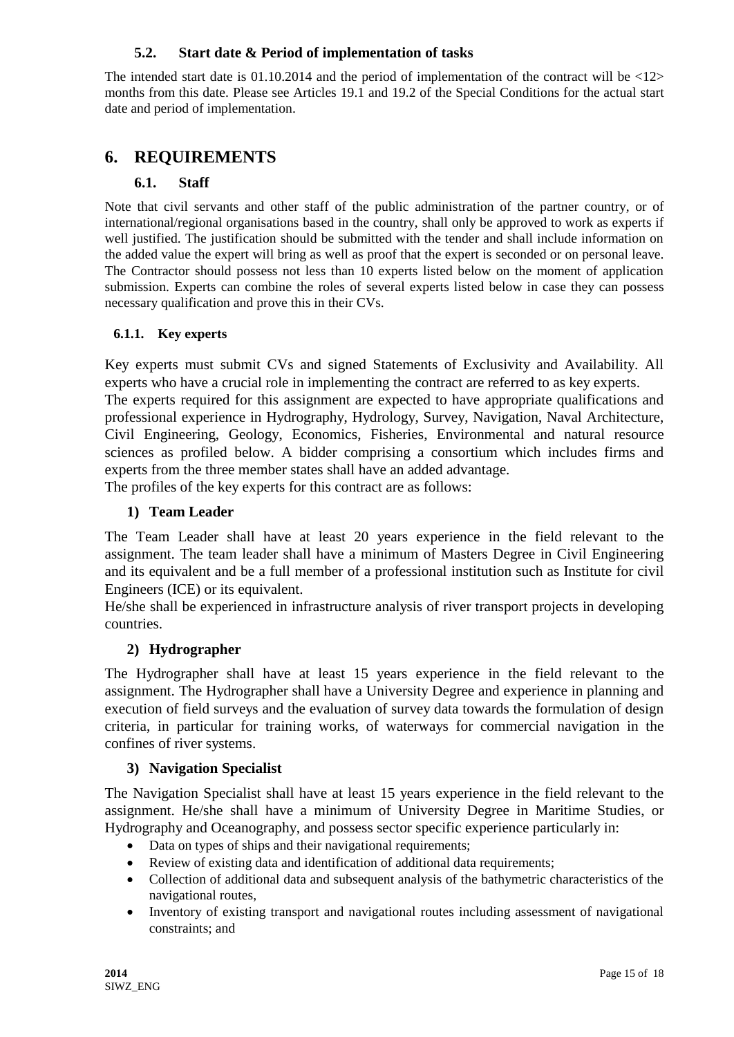## **5.2. Start date & Period of implementation of tasks**

The intended start date is  $01.10.2014$  and the period of implementation of the contract will be  $\langle 12 \rangle$ months from this date. Please see Articles 19.1 and 19.2 of the Special Conditions for the actual start date and period of implementation.

# **6. REQUIREMENTS**

## **6.1. Staff**

Note that civil servants and other staff of the public administration of the partner country, or of international/regional organisations based in the country, shall only be approved to work as experts if well justified. The justification should be submitted with the tender and shall include information on the added value the expert will bring as well as proof that the expert is seconded or on personal leave. The Contractor should possess not less than 10 experts listed below on the moment of application submission. Experts can combine the roles of several experts listed below in case they can possess necessary qualification and prove this in their CVs.

### **6.1.1. Key experts**

Key experts must submit CVs and signed Statements of Exclusivity and Availability. All experts who have a crucial role in implementing the contract are referred to as key experts.

The experts required for this assignment are expected to have appropriate qualifications and professional experience in Hydrography, Hydrology, Survey, Navigation, Naval Architecture, Civil Engineering, Geology, Economics, Fisheries, Environmental and natural resource sciences as profiled below. A bidder comprising a consortium which includes firms and experts from the three member states shall have an added advantage.

The profiles of the key experts for this contract are as follows:

## **1) Team Leader**

The Team Leader shall have at least 20 years experience in the field relevant to the assignment. The team leader shall have a minimum of Masters Degree in Civil Engineering and its equivalent and be a full member of a professional institution such as Institute for civil Engineers (ICE) or its equivalent.

He/she shall be experienced in infrastructure analysis of river transport projects in developing countries.

# **2) Hydrographer**

The Hydrographer shall have at least 15 years experience in the field relevant to the assignment. The Hydrographer shall have a University Degree and experience in planning and execution of field surveys and the evaluation of survey data towards the formulation of design criteria, in particular for training works, of waterways for commercial navigation in the confines of river systems.

### **3) Navigation Specialist**

The Navigation Specialist shall have at least 15 years experience in the field relevant to the assignment. He/she shall have a minimum of University Degree in Maritime Studies, or Hydrography and Oceanography, and possess sector specific experience particularly in:

- Data on types of ships and their navigational requirements;
- Review of existing data and identification of additional data requirements;
- Collection of additional data and subsequent analysis of the bathymetric characteristics of the navigational routes,
- Inventory of existing transport and navigational routes including assessment of navigational constraints; and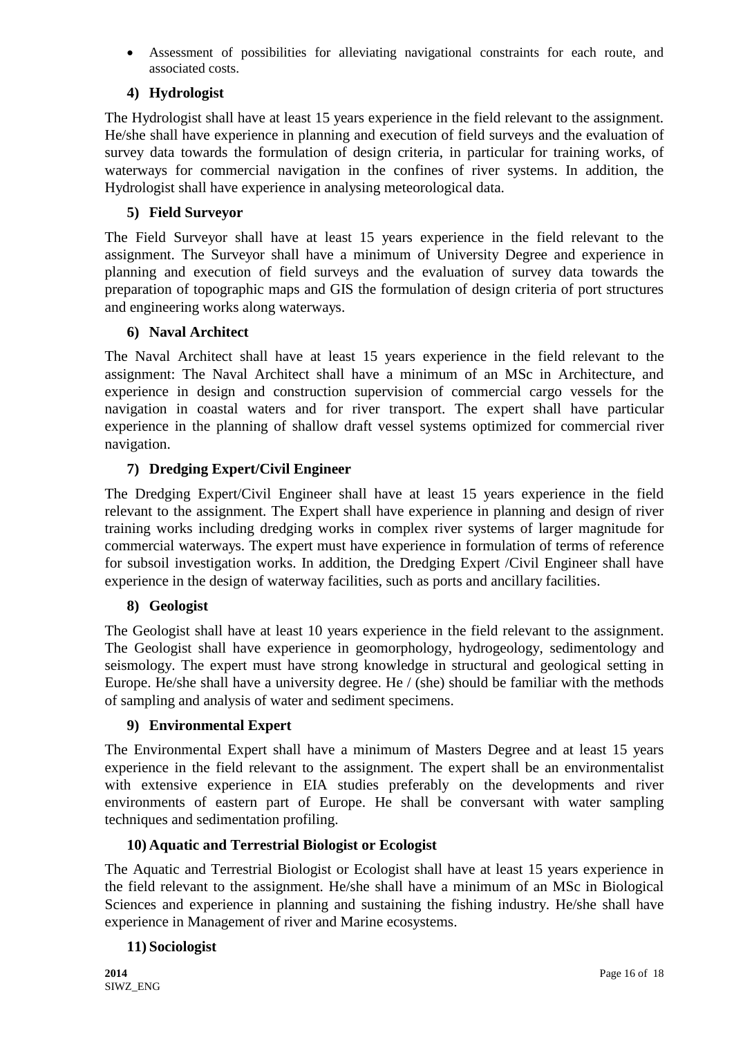Assessment of possibilities for alleviating navigational constraints for each route, and associated costs.

# **4) Hydrologist**

The Hydrologist shall have at least 15 years experience in the field relevant to the assignment. He/she shall have experience in planning and execution of field surveys and the evaluation of survey data towards the formulation of design criteria, in particular for training works, of waterways for commercial navigation in the confines of river systems. In addition, the Hydrologist shall have experience in analysing meteorological data.

# **5) Field Surveyor**

The Field Surveyor shall have at least 15 years experience in the field relevant to the assignment. The Surveyor shall have a minimum of University Degree and experience in planning and execution of field surveys and the evaluation of survey data towards the preparation of topographic maps and GIS the formulation of design criteria of port structures and engineering works along waterways.

## **6) Naval Architect**

The Naval Architect shall have at least 15 years experience in the field relevant to the assignment: The Naval Architect shall have a minimum of an MSc in Architecture, and experience in design and construction supervision of commercial cargo vessels for the navigation in coastal waters and for river transport. The expert shall have particular experience in the planning of shallow draft vessel systems optimized for commercial river navigation.

# **7) Dredging Expert/Civil Engineer**

The Dredging Expert/Civil Engineer shall have at least 15 years experience in the field relevant to the assignment. The Expert shall have experience in planning and design of river training works including dredging works in complex river systems of larger magnitude for commercial waterways. The expert must have experience in formulation of terms of reference for subsoil investigation works. In addition, the Dredging Expert /Civil Engineer shall have experience in the design of waterway facilities, such as ports and ancillary facilities.

# **8) Geologist**

The Geologist shall have at least 10 years experience in the field relevant to the assignment. The Geologist shall have experience in geomorphology, hydrogeology, sedimentology and seismology. The expert must have strong knowledge in structural and geological setting in Europe. He/she shall have a university degree. He / (she) should be familiar with the methods of sampling and analysis of water and sediment specimens.

# **9) Environmental Expert**

The Environmental Expert shall have a minimum of Masters Degree and at least 15 years experience in the field relevant to the assignment. The expert shall be an environmentalist with extensive experience in EIA studies preferably on the developments and river environments of eastern part of Europe. He shall be conversant with water sampling techniques and sedimentation profiling.

# **10) Aquatic and Terrestrial Biologist or Ecologist**

The Aquatic and Terrestrial Biologist or Ecologist shall have at least 15 years experience in the field relevant to the assignment. He/she shall have a minimum of an MSc in Biological Sciences and experience in planning and sustaining the fishing industry. He/she shall have experience in Management of river and Marine ecosystems.

### **11) Sociologist**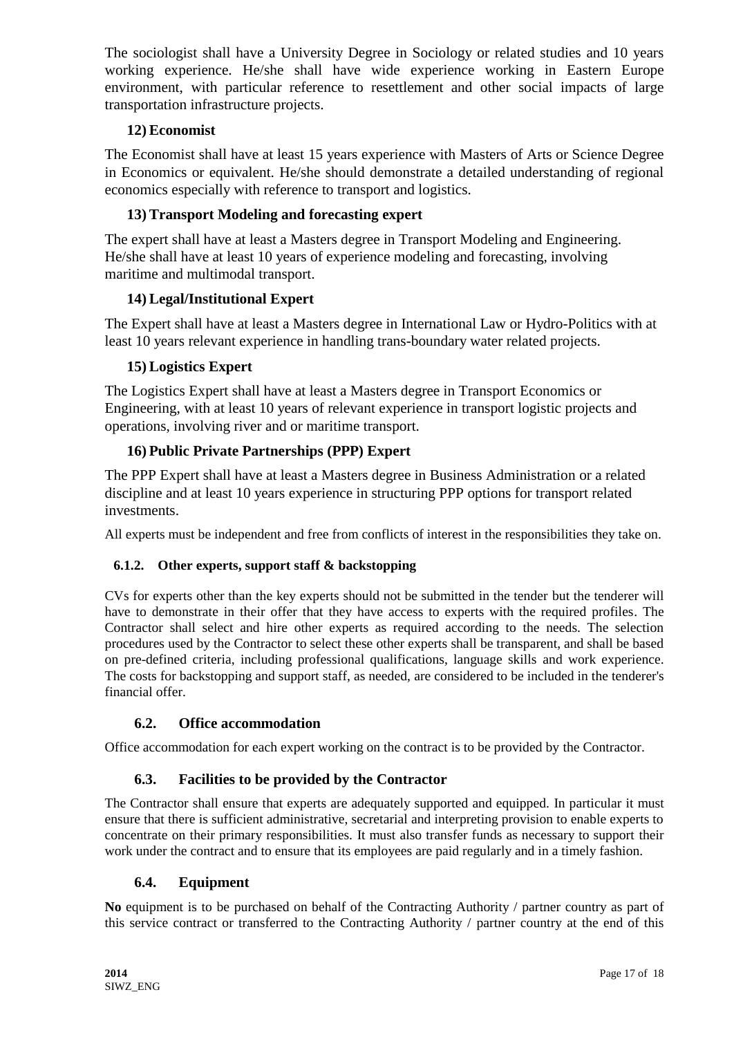The sociologist shall have a University Degree in Sociology or related studies and 10 years working experience. He/she shall have wide experience working in Eastern Europe environment, with particular reference to resettlement and other social impacts of large transportation infrastructure projects.

# **12) Economist**

The Economist shall have at least 15 years experience with Masters of Arts or Science Degree in Economics or equivalent. He/she should demonstrate a detailed understanding of regional economics especially with reference to transport and logistics.

# **13) Transport Modeling and forecasting expert**

The expert shall have at least a Masters degree in Transport Modeling and Engineering. He/she shall have at least 10 years of experience modeling and forecasting, involving maritime and multimodal transport.

# **14) Legal/Institutional Expert**

The Expert shall have at least a Masters degree in International Law or Hydro-Politics with at least 10 years relevant experience in handling trans-boundary water related projects.

# **15) Logistics Expert**

The Logistics Expert shall have at least a Masters degree in Transport Economics or Engineering, with at least 10 years of relevant experience in transport logistic projects and operations, involving river and or maritime transport.

# **16) Public Private Partnerships (PPP) Expert**

The PPP Expert shall have at least a Masters degree in Business Administration or a related discipline and at least 10 years experience in structuring PPP options for transport related investments.

All experts must be independent and free from conflicts of interest in the responsibilities they take on.

# **6.1.2. Other experts, support staff & backstopping**

CVs for experts other than the key experts should not be submitted in the tender but the tenderer will have to demonstrate in their offer that they have access to experts with the required profiles. The Contractor shall select and hire other experts as required according to the needs. The selection procedures used by the Contractor to select these other experts shall be transparent, and shall be based on pre-defined criteria, including professional qualifications, language skills and work experience. The costs for backstopping and support staff, as needed, are considered to be included in the tenderer's financial offer.

# **6.2. Office accommodation**

Office accommodation for each expert working on the contract is to be provided by the Contractor.

# **6.3. Facilities to be provided by the Contractor**

The Contractor shall ensure that experts are adequately supported and equipped. In particular it must ensure that there is sufficient administrative, secretarial and interpreting provision to enable experts to concentrate on their primary responsibilities. It must also transfer funds as necessary to support their work under the contract and to ensure that its employees are paid regularly and in a timely fashion.

### **6.4. Equipment**

**No** equipment is to be purchased on behalf of the Contracting Authority / partner country as part of this service contract or transferred to the Contracting Authority / partner country at the end of this